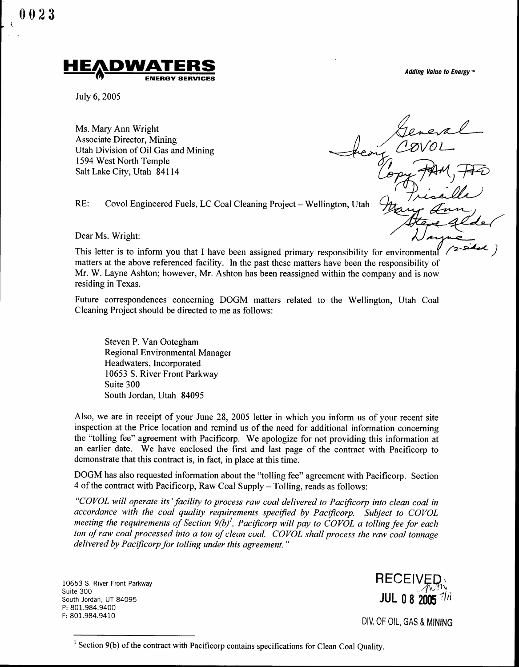0023  $\begin{bmatrix} 0 & 0 & 2 & 3 \\ 0 & 0 & 2 & 3 \end{bmatrix}$ 



July 6, 2005

RE:

Ms. Mary Ann Wright Associate Director, Mining Utah Division of Oil Gas and Mining 1594 West North Temple Salt Lake City, Utah 84114

Adding Value to Energy  $M$ 

Covol Engineered Fuels, LC Coal Cleaning Project - Wellington, Utah

Dear Ms. Wright:

This letter is to inform you that I have been assigned primary responsibility for environmenta matters at the above referenced facility . In the past these matters have been the responsibility of Mr. W. Layne Ashton; however, Mr. Ashton has been reassigned within the company and is now residing in Texas.

Future correspondences concerning DOGM matters related to the Wellington, Utah Coal Cleaning Project should be directed to me as follows :

Steven P. Van Ootegham Regional Environmental Manager Headwaters, Incorporated 10653 S. River Front Parkway Suite 300 South Jordan, Utah 84095

Also, we are in receipt of your June 28, 2005 letter in which you inform us of your recent site inspection at the Price location and remind us of the need for additional information concerning the "tolling fee" agreement with Pacificorp. We apologize for not providing this information at an earlier date. We have enclosed the first and last page of the contract with Pacificorp to demonstrate that this contract is, in fact, in place at this time.

DOGM has also requested information about the "tolling fee" agreement with Pacificorp. Section 4 of the contract with Pacificorp, Raw Coal Supply – Tolling, reads as follows:

"COVOL will operate its' facility to process raw coal delivered to Pacificorp into clean coal in accordance with the coal quality requirements specified by Pacificorp. Subject to COVOL meeting the requirements of Section  $9(b)^l$ , Pacificorp will pay to COVOL a tolling fee for each ton of raw coal processed into a ton of clean coal . COVOL shall process the raw coal tonnage delivered by Pacificorp for tolling under this agreement. "

10653 S. River Front Parkway Suite 300 South Jordan, UT 84095 P: 801.984.9400 F: 801.984.9410

**RECEIV** JUL 0 8 2005

DIV. OF OIL, GAS & MINING

 $1$  Section 9(b) of the contract with Pacificorp contains specifications for Clean Coal Quality.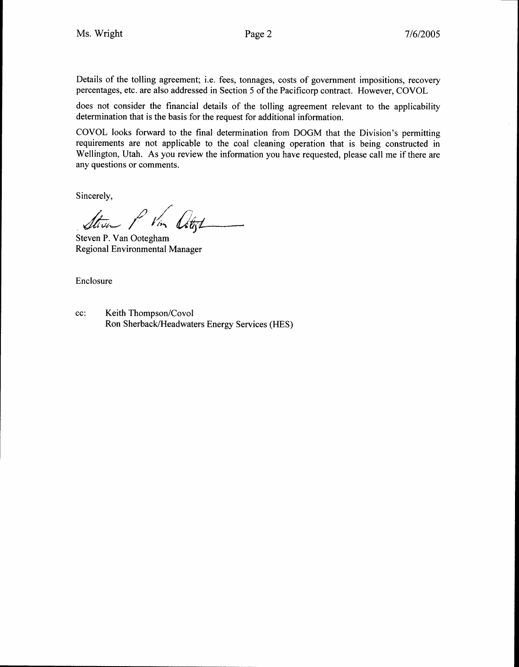Details of the tolling agreement; i.e. fees, tonnages, costs of government impositions, recovery percentages, etc. are also addressed in Section 5 of the Pacificorp contract. However, COVOL

does not consider the financial details of the tolling agreement relevant to the applicability determination that is the basis for the request for additional information .

COVOL looks forward to the final determination from DOGM that the Division's permitting requirements are not applicable to the coal cleaning operation that is being constructed in Wellington, Utah. As you review the information you have requested, please call me if there are any questions or comments . Ms. Wright<br>
Details of the tolling agreemer<br>
percentages, etc. are also addres<br>
does not consider the financia<br>
determination that is the basis fi<br>
COVOL looks forward to the<br>
requirements are not applicab<br>
Wellington, Ut

Sincerely,

Steven P. Van Ootegham Regional Environmental Manager

Enclosure

cc: Ron Sherback/Headwaters Energy Services (HES)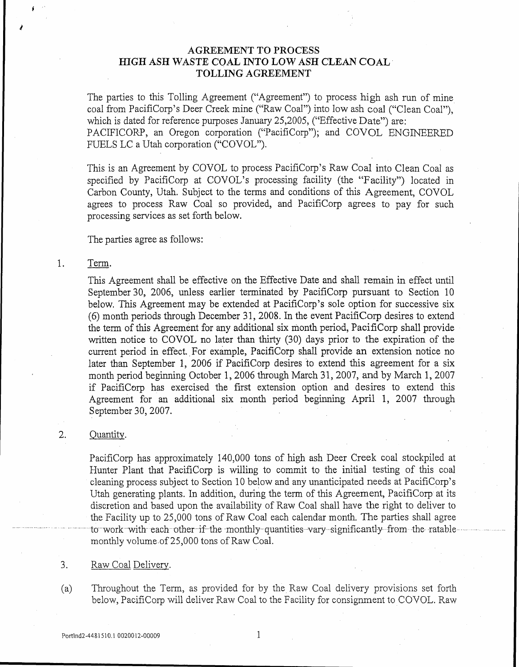# AGREEMENT TO PROCESS HIGH ASH WASTE COAL INTO LOW ASH CLEAN COAL - TOLLING AGREEMENT

The parties to this Tolling Agreement ("Agreement") to process high ash run of mine coal from PacifiCorp's Deer Creek mine ("Raw Coal") into low ash coal ("Clean Coal"), which is dated for reference purposes January 25,2005, ("Effective Date") are: PACIFICORP, an Oregon corporation ("PacifiCorp"); and COVOL ENGINEERED FUELS LC a Utah corporation ("COVOL") .

This is an Agreement by COVOL to process PacifiCorp's Raw Coal into Clean Coal as specified by PacifiCorp at COVOL's processing facility (the "Facility") located in Carbon County, Utah. Subject to the terms and conditions of this Agreement, COVOL agrees to process Raw Coal so provided, and PacifiCorp agrees to pay for such processing services as set forth below.

The parties agree as follows :

#### 1 . Term.

1

 $\begin{array}{l} \left(\begin{array}{cc} 1 & 0 \\ 0 & 0 \end{array}\right) & \text{if} \quad \left(\begin{array}{c} 0 & 0 \\ 0 & 0 \end{array}\right) & \text{if} \quad \left(\begin{array}{c} 0 & 0 \\ 0 & 0 \end{array}\right) & \text{if} \quad \left(\begin{array}{c} 0 & 0 \\ 0 & 0 \end{array}\right) & \text{if} \quad \left(\begin{array}{c} 0 & 0 \\ 0 & 0 \end{array}\right) & \text{if} \quad \left(\begin{array}{c} 0 & 0 \\ 0 & 0 \end{array}\right) & \text{if} \quad \left(\$ 

 $\label{eq:2} \frac{1}{\sqrt{2}}\int_{0}^{\infty}\frac{f(\vec{r})^2}{\sqrt{2\pi}}\,d\vec{r}$ 

This Agreement shall be effective on the Effective Date and shall remain in effect until September 30, 2006, unless earlier terminated by PacifiCorp pursuant to Section 10 below. This Agreement may be extended at PacifiCorp's sole option for successive six (6) month periods through December 31, 2008 . In the event PacifiCorp desires to extend the term of this Agreement for any additional six month period, PacifiCorp shall provide written notice to COVOL no later than thirty (30) days prior to the expiration of the current period in effect. For example, PacifiCorp shall provide an extension notice no later than September 1, 2006 if PacifiCorp desires to extend this agreement for a six month period beginning October 1, 2006 through March 31, 2007, and by March 1, 2007 if PacifiCorp has exercised the first extension option and desires to extend this Agreement for an additional six month period beginning April 1, 2007 through September 30, 2007 . Fig. 1<br>
The partie coal from 1<br>
which is de<br>
PACIFICC<br>
FUELS LC<br>
This is an<br>
specified 1<br>
Carbon Cc<br>
agrees to<br>
processing<br>
The parties<br>
1. Term.<br>
This Agree<br>
September<br>
below. The (6) month<br>
the term of written no<br>
curren Fig. 2014<br>
The parties to this Troad Iron PacifiCorp'<br>
which is dated for refit<br>
PACIFICORP, an O<br>
PACIFICORP, an O<br>
FUELS LC a Utah co.<br>
This is an Agreement<br>
specified by PacifiC<br>
Carbon Courty, Utah<br>
agrees to process R

### 2.

PacifiCorp has approximately 140,000 tons of high ash Deer Creek coal stockpiled at Hunter Plant that PacifiCorp is willing to commit to the initial testing of this coal cleaning process subject to Section 10 below and any unanticipated needs at PacifiCorp's Utah generating plants. In addition, during the term of this Agreement, PacifiCorp at its discretion and based upon the availability of Raw Coal shall have the right to deliver to the Facility up to 25,000 tons of Raw Coal each calendar month . The parties shall agree discretion and based upon the availability of Raw Coal shall have the right to deliver to<br>the Facility up to 25,000 tons of Raw Coal each calendar month. The parties shall agree<br>to work-with each other if the monthly-quant monthly volume of 25,000 tons of Raw Coal.

### 3.

(a) Throughout the Term, as provided for by the Raw Coal delivery provisions set forth below, PacifiCorp will deliver Raw Coal to the Facility for consignment to COVOL . Raw

1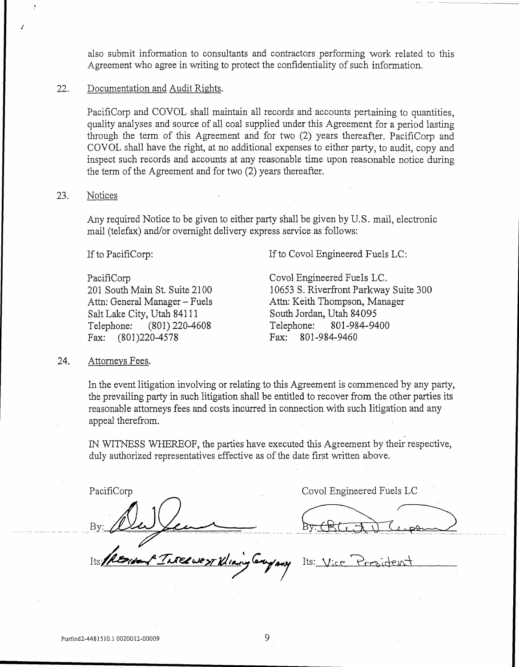also submit information to consultants and contractors performing work related to this Agreement who agree in writing to protect the confidentiality of such information,

### 22. Documentation and Audit Rights.

PacifiCorp and COVOL shall maintain all records and accounts pertaining to quantities, quality analyses and source of all coal supplied under this Agreement for a period lasting through the term of this Agreement and for two (2) years thereafter. PacifiCorp and COVOL shall have the right, at no additional expenses to either party, to audit, copy and inspect such records and accounts at any reasonable time upon reasonable notice during the term of the Agreement and for two (2) years thereafter . Interaction of the Agreement who agree in writing to protect the confidentiality of such information and Audit Rights.<br>
22. Documentation and Audit Rights.<br>
22. Documentation and Audit Rights.<br>
22. Decumentation and COVOL Attorneys Fees.<br>
Attorneys Fees.<br>
22. Documentation and Constanting Pacificorp and Constanting the term<br>
23. Notices<br>
23. Notices<br>
Any required No mail (telefax) and If to PacifiCorp:<br>
201 South Main<br>
201 South Main<br>
201 S

#### 23. Notices

 $\begin{array}{c} \begin{array}{c} \mathcal{F} \\ \mathcal{F} \end{array} \\ \begin{array}{c} \mathcal{F} \\ \mathcal{F} \end{array} \end{array}$ 

Any required Notice to be given to either party shall be given by U .S . mail, electronic mail (telefax) and/or overnight delivery express service as follows :

If to PacifiCorp:

Attn: General Manager - Fuels Salt Lake City, Utah 84111 South Jordan<br>Telephone: (801) 220-4608 Telephone:

Fax: (801)220-4578

PacifiCorp Covol Engineered Fuels LC.<br>
201 South Main St. Suite 2100 10653 S. Riverfront Parkway 10653 S. Riverfront Parkway Suite 300 Attn: Keith Thompson, Manager<br>South Jordan, Utah 84095 Telephone: (801) 220-4608 Telephone: 801-984-9400<br>Fax: (801) 220-4578 Fax: 801-984-9460

## 24.

In the event litigation involving or relating to this Agreement is commenced by any party, the prevailing party in such litigation shall be entitled to recover from the other parties its reasonable attorneys fees and costs incurred in connection with such litigation and any appeal therefrom.

IN WITNESS WHEREOF, the parties have executed this Agreement by their respective duly authorized representatives effective as of the date first written above.

PacifiCorp

"Threewest Klining Company

Covol Engineered Fuels LC

Its: Vice President